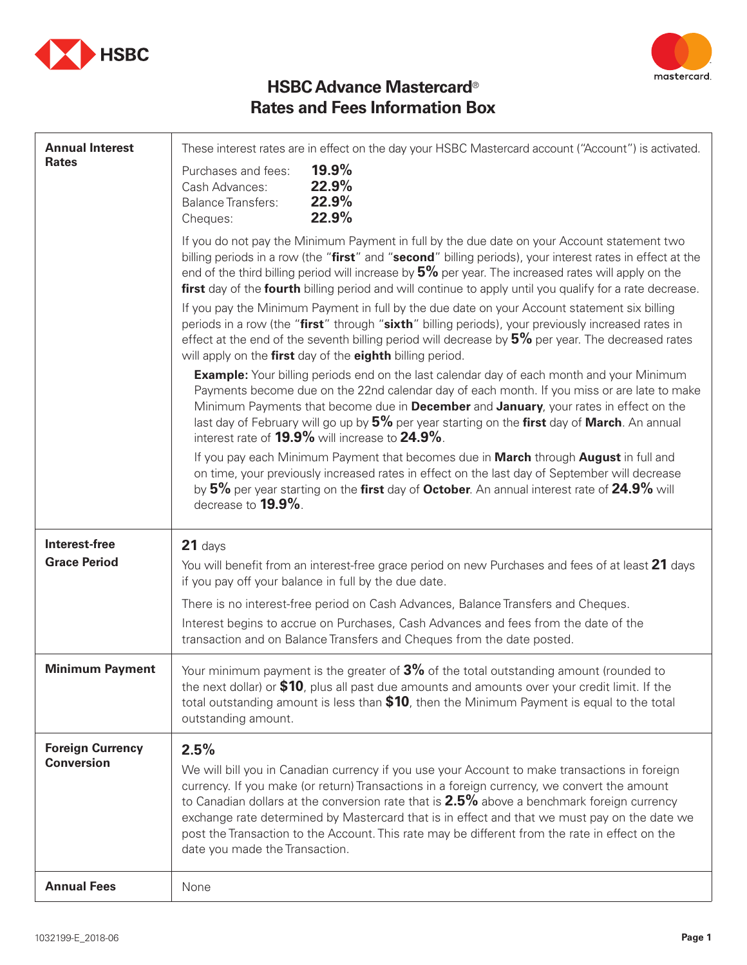



## **HSBC Advance Mastercard**® **Rates and Fees Information Box**

| <b>Annual Interest</b>                       | These interest rates are in effect on the day your HSBC Mastercard account ("Account") is activated.                                                                                                                                                                                                                                                                                                                                                                                                 |  |
|----------------------------------------------|------------------------------------------------------------------------------------------------------------------------------------------------------------------------------------------------------------------------------------------------------------------------------------------------------------------------------------------------------------------------------------------------------------------------------------------------------------------------------------------------------|--|
| <b>Rates</b>                                 | 19.9%<br>Purchases and fees:<br>22.9%<br>Cash Advances:<br>22.9%<br><b>Balance Transfers:</b><br>22.9%<br>Cheques:                                                                                                                                                                                                                                                                                                                                                                                   |  |
|                                              | If you do not pay the Minimum Payment in full by the due date on your Account statement two<br>billing periods in a row (the "first" and "second" billing periods), your interest rates in effect at the<br>end of the third billing period will increase by $5\%$ per year. The increased rates will apply on the<br>first day of the fourth billing period and will continue to apply until you qualify for a rate decrease.                                                                       |  |
|                                              | If you pay the Minimum Payment in full by the due date on your Account statement six billing<br>periods in a row (the "first" through "sixth" billing periods), your previously increased rates in<br>effect at the end of the seventh billing period will decrease by $5\%$ per year. The decreased rates<br>will apply on the first day of the eighth billing period.                                                                                                                              |  |
|                                              | <b>Example:</b> Your billing periods end on the last calendar day of each month and your Minimum<br>Payments become due on the 22nd calendar day of each month. If you miss or are late to make<br>Minimum Payments that become due in <b>December</b> and January, your rates in effect on the<br>last day of February will go up by 5% per year starting on the first day of March. An annual<br>interest rate of <b>19.9%</b> will increase to <b>24.9%</b> .                                     |  |
|                                              | If you pay each Minimum Payment that becomes due in March through August in full and<br>on time, your previously increased rates in effect on the last day of September will decrease<br>by 5% per year starting on the first day of October. An annual interest rate of 24.9% will<br>decrease to 19.9%.                                                                                                                                                                                            |  |
| Interest-free<br><b>Grace Period</b>         | $21$ days<br>You will benefit from an interest-free grace period on new Purchases and fees of at least 21 days<br>if you pay off your balance in full by the due date.                                                                                                                                                                                                                                                                                                                               |  |
|                                              | There is no interest-free period on Cash Advances, Balance Transfers and Cheques.                                                                                                                                                                                                                                                                                                                                                                                                                    |  |
|                                              | Interest begins to accrue on Purchases, Cash Advances and fees from the date of the<br>transaction and on Balance Transfers and Cheques from the date posted.                                                                                                                                                                                                                                                                                                                                        |  |
| <b>Minimum Payment</b>                       | Your minimum payment is the greater of 3% of the total outstanding amount (rounded to<br>the next dollar) or \$10, plus all past due amounts and amounts over your credit limit. If the<br>total outstanding amount is less than \$10, then the Minimum Payment is equal to the total<br>outstanding amount.                                                                                                                                                                                         |  |
| <b>Foreign Currency</b><br><b>Conversion</b> | 2.5%<br>We will bill you in Canadian currency if you use your Account to make transactions in foreign<br>currency. If you make (or return) Transactions in a foreign currency, we convert the amount<br>to Canadian dollars at the conversion rate that is 2.5% above a benchmark foreign currency<br>exchange rate determined by Mastercard that is in effect and that we must pay on the date we<br>post the Transaction to the Account. This rate may be different from the rate in effect on the |  |
|                                              | date you made the Transaction.                                                                                                                                                                                                                                                                                                                                                                                                                                                                       |  |